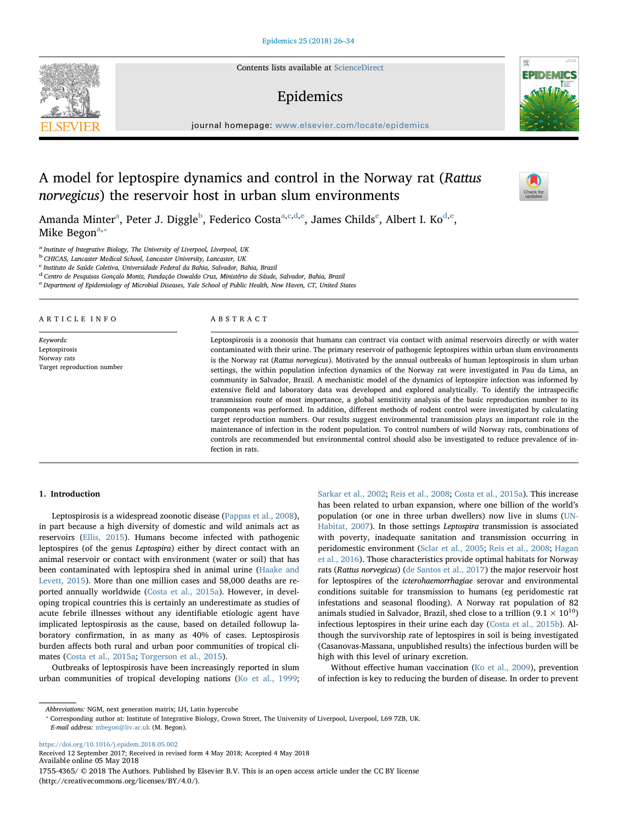Contents lists available at [ScienceDirect](http://www.sciencedirect.com/science/journal/17554365)

# Epidemics

journal homepage: [www.elsevier.com/locate/epidemics](https://www.elsevier.com/locate/epidemics)

# A model for leptospire dynamics and control in the Norway rat (Rattus norvegicus) the reservoir host in urban slum environments

Amanda Minter<sup>a</sup>, Peter J. Diggle<sup>[b](#page-0-1)</sup>, Federico Cost[a](#page-0-0)<sup>a[,c,](#page-0-2)[d,](#page-0-3)[e](#page-0-4)</sup>, James Chil[d](#page-0-3)s<sup>e</sup>, Albert I. Ko<sup>d,e</sup>, Mike Begon $a,*$  $a,*$ 

<span id="page-0-0"></span><sup>a</sup> Institute of Integrative Biology, The University of Liverpool, Liverpool, UK

<span id="page-0-1"></span><sup>b</sup> CHICAS, Lancaster Medical School, Lancaster University, Lancaster, UK

<span id="page-0-2"></span>c Instituto de Saúde Coletiva, Universidade Federal da Bahia, Salvador, Bahia, Brazil

<span id="page-0-4"></span><span id="page-0-3"></span><sup>d</sup> Centro de Pesquisas Gonçalo Moniz, Fundação Oswaldo Cruz, Ministério da Sáude, Salvador, Bahia, Brazil eDepartment of Epidemiology of Microbial Diseases, Yale School of Public Health, New Haven, CT, United States

ARTICLE INFO

Keywords: Leptospirosis Norway rats Target reproduction number

#### ABSTRACT

Leptospirosis is a zoonosis that humans can contract via contact with animal reservoirs directly or with water contaminated with their urine. The primary reservoir of pathogenic leptospires within urban slum environments is the Norway rat (Rattus norvegicus). Motivated by the annual outbreaks of human leptospirosis in slum urban settings, the within population infection dynamics of the Norway rat were investigated in Pau da Lima, an community in Salvador, Brazil. A mechanistic model of the dynamics of leptospire infection was informed by extensive field and laboratory data was developed and explored analytically. To identify the intraspecific transmission route of most importance, a global sensitivity analysis of the basic reproduction number to its components was performed. In addition, different methods of rodent control were investigated by calculating target reproduction numbers. Our results suggest environmental transmission plays an important role in the maintenance of infection in the rodent population. To control numbers of wild Norway rats, combinations of controls are recommended but environmental control should also be investigated to reduce prevalence of infection in rats.

#### 1. Introduction

Leptospirosis is a widespread zoonotic disease ([Pappas et al., 2008](#page-8-0)), in part because a high diversity of domestic and wild animals act as reservoirs ([Ellis, 2015\)](#page-7-0). Humans become infected with pathogenic leptospires (of the genus Leptospira) either by direct contact with an animal reservoir or contact with environment (water or soil) that has been contaminated with leptospira shed in animal urine ([Haake and](#page-7-1) [Levett, 2015](#page-7-1)). More than one million cases and 58,000 deaths are reported annually worldwide [\(Costa et al., 2015a](#page-7-2)). However, in developing tropical countries this is certainly an underestimate as studies of acute febrile illnesses without any identifiable etiologic agent have implicated leptospirosis as the cause, based on detailed followup laboratory confirmation, in as many as 40% of cases. Leptospirosis burden affects both rural and urban poor communities of tropical climates ([Costa et al., 2015a;](#page-7-2) [Torgerson et al., 2015](#page-8-1)).

Outbreaks of leptospirosis have been increasingly reported in slum urban communities of tropical developing nations [\(Ko et al., 1999](#page-8-2);

[Sarkar et al., 2002;](#page-8-3) [Reis et al., 2008;](#page-8-4) [Costa et al., 2015a](#page-7-2)). This increase has been related to urban expansion, where one billion of the world's population (or one in three urban dwellers) now live in slums ([UN-](#page-8-5)[Habitat, 2007](#page-8-5)). In those settings Leptospira transmission is associated with poverty, inadequate sanitation and transmission occurring in peridomestic environment [\(Sclar et al., 2005;](#page-8-6) [Reis et al., 2008;](#page-8-4) [Hagan](#page-7-3) [et al., 2016](#page-7-3)). Those characteristics provide optimal habitats for Norway rats (Rattus norvegicus) [\(de Santos et al., 2017](#page-8-7)) the major reservoir host for leptospires of the icterohaemorrhagiae serovar and environmental conditions suitable for transmission to humans (eg peridomestic rat infestations and seasonal flooding). A Norway rat population of 82 animals studied in Salvador, Brazil, shed close to a trillion (9.1  $\times$   $10^{10})$ infectious leptospires in their urine each day [\(Costa et al., 2015b](#page-7-4)). Although the survivorship rate of leptospires in soil is being investigated (Casanovas-Massana, unpublished results) the infectious burden will be high with this level of urinary excretion.

Without effective human vaccination ([Ko et al., 2009](#page-8-8)), prevention of infection is key to reducing the burden of disease. In order to prevent

Abbreviations: NGM, next generation matrix; LH, Latin hypercube

<span id="page-0-5"></span>⁎ Corresponding author at: Institute of Integrative Biology, Crown Street, The University of Liverpool, Liverpool, L69 7ZB, UK. E-mail address: [mbegon@liv.ac.uk](mailto:mbegon@liv.ac.uk) (M. Begon).

<https://doi.org/10.1016/j.epidem.2018.05.002> Received 12 September 2017; Received in revised form 4 May 2018; Accepted 4 May 2018 Available online 05 May 2018 1755-4365/ © 2018 The Authors. Published by Elsevier B.V. This is an open access article under the CC BY license (http://creativecommons.org/licenses/BY/4.0/).





 $\sum_{\text{the}}$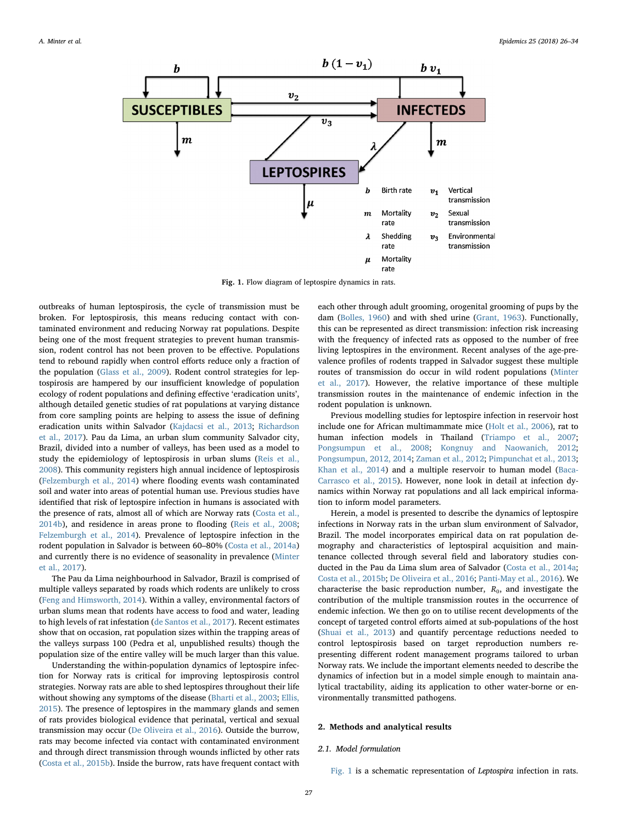<span id="page-1-0"></span>

Fig. 1. Flow diagram of leptospire dynamics in rats.

outbreaks of human leptospirosis, the cycle of transmission must be broken. For leptospirosis, this means reducing contact with contaminated environment and reducing Norway rat populations. Despite being one of the most frequent strategies to prevent human transmission, rodent control has not been proven to be effective. Populations tend to rebound rapidly when control efforts reduce only a fraction of the population ([Glass et al., 2009](#page-7-5)). Rodent control strategies for leptospirosis are hampered by our insufficient knowledge of population ecology of rodent populations and defining effective 'eradication units', although detailed genetic studies of rat populations at varying distance from core sampling points are helping to assess the issue of defining eradication units within Salvador ([Kajdacsi et al., 2013](#page-7-6); [Richardson](#page-8-9) [et al., 2017\)](#page-8-9). Pau da Lima, an urban slum community Salvador city, Brazil, divided into a number of valleys, has been used as a model to study the epidemiology of leptospirosis in urban slums ([Reis et al.,](#page-8-4) [2008\)](#page-8-4). This community registers high annual incidence of leptospirosis ([Felzemburgh et al., 2014\)](#page-7-7) where flooding events wash contaminated soil and water into areas of potential human use. Previous studies have identified that risk of leptospire infection in humans is associated with the presence of rats, almost all of which are Norway rats ([Costa et al.,](#page-7-8) [2014b\)](#page-7-8), and residence in areas prone to flooding [\(Reis et al., 2008](#page-8-4); [Felzemburgh et al., 2014\)](#page-7-7). Prevalence of leptospire infection in the rodent population in Salvador is between 60–80% ([Costa et al., 2014a\)](#page-7-9) and currently there is no evidence of seasonality in prevalence [\(Minter](#page-8-10) [et al., 2017](#page-8-10)).

The Pau da Lima neighbourhood in Salvador, Brazil is comprised of multiple valleys separated by roads which rodents are unlikely to cross ([Feng and Himsworth, 2014\)](#page-7-10). Within a valley, environmental factors of urban slums mean that rodents have access to food and water, leading to high levels of rat infestation ([de Santos et al., 2017\)](#page-8-7). Recent estimates show that on occasion, rat population sizes within the trapping areas of the valleys surpass 100 (Pedra et al, unpublished results) though the population size of the entire valley will be much larger than this value.

Understanding the within-population dynamics of leptospire infection for Norway rats is critical for improving leptospirosis control strategies. Norway rats are able to shed leptospires throughout their life without showing any symptoms of the disease ([Bharti et al., 2003](#page-7-11); [Ellis,](#page-7-0) [2015\)](#page-7-0). The presence of leptospires in the mammary glands and semen of rats provides biological evidence that perinatal, vertical and sexual transmission may occur ([De Oliveira et al., 2016\)](#page-8-11). Outside the burrow, rats may become infected via contact with contaminated environment and through direct transmission through wounds inflicted by other rats ([Costa et al., 2015b\)](#page-7-4). Inside the burrow, rats have frequent contact with

each other through adult grooming, orogenital grooming of pups by the dam [\(Bolles,](#page-7-12) 1960) and with shed urine [\(Grant, 1963\)](#page-7-13). Functionally, this can be represented as direct transmission: infection risk increasing with the frequency of infected rats as opposed to the number of free living leptospires in the environment. Recent analyses of the age-prevalence profiles of rodents trapped in Salvador suggest these multiple routes of transmission do occur in wild rodent populations ([Minter](#page-8-10) [et al., 2017\)](#page-8-10). However, the relative importance of these multiple transmission routes in the maintenance of endemic infection in the rodent population is unknown.

Previous modelling studies for leptospire infection in reservoir host include one for African multimammate mice [\(Holt et al., 2006](#page-7-14)), rat to human infection models in Thailand ([Triampo et al., 2007](#page-8-12); [Pongsumpun et al., 2008;](#page-8-13) [Kongnuy and Naowanich, 2012](#page-8-14); [Pongsumpun, 2012, 2014;](#page-8-15) [Zaman et al., 2012;](#page-8-16) [Pimpunchat et al., 2013](#page-8-17); [Khan et al., 2014](#page-8-18)) and a multiple reservoir to human model [\(Baca-](#page-7-15)[Carrasco et al., 2015\)](#page-7-15). However, none look in detail at infection dynamics within Norway rat populations and all lack empirical information to inform model parameters.

Herein, a model is presented to describe the dynamics of leptospire infections in Norway rats in the urban slum environment of Salvador, Brazil. The model incorporates empirical data on rat population demography and characteristics of leptospiral acquisition and maintenance collected through several field and laboratory studies conducted in the Pau da Lima slum area of Salvador [\(Costa et al., 2014a](#page-7-9); [Costa et al., 2015b;](#page-7-4) [De Oliveira et al., 2016](#page-8-11); [Panti-May et al., 2016](#page-8-19)). We characterise the basic reproduction number,  $R_0$ , and investigate the contribution of the multiple transmission routes in the occurrence of endemic infection. We then go on to utilise recent developments of the concept of targeted control efforts aimed at sub-populations of the host ([Shuai et al., 2013](#page-8-20)) and quantify percentage reductions needed to control leptospirosis based on target reproduction numbers representing different rodent management programs tailored to urban Norway rats. We include the important elements needed to describe the dynamics of infection but in a model simple enough to maintain analytical tractability, aiding its application to other water-borne or environmentally transmitted pathogens.

#### 2. Methods and analytical results

#### 2.1. Model formulation

[Fig. 1](#page-1-0) is a schematic representation of Leptospira infection in rats.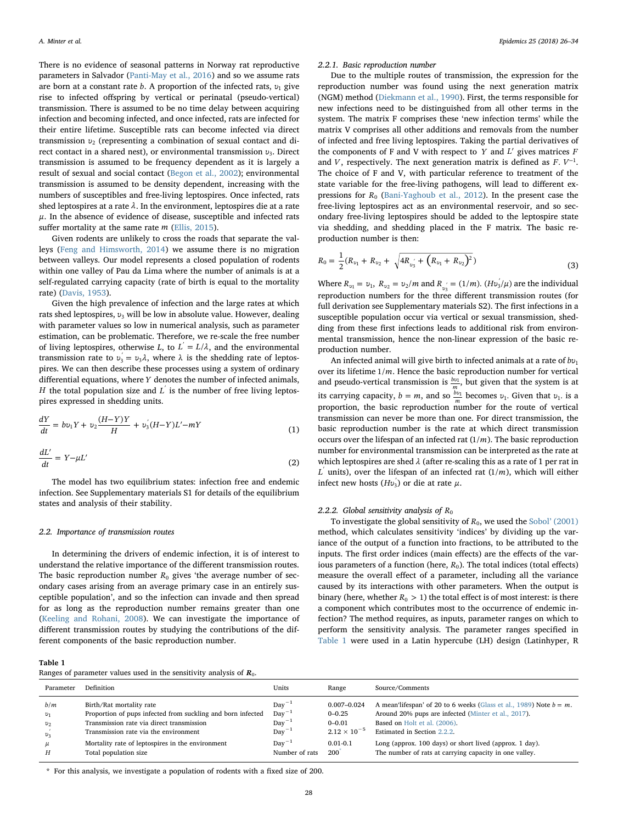There is no evidence of seasonal patterns in Norway rat reproductive parameters in Salvador ([Panti-May et al., 2016\)](#page-8-19) and so we assume rats are born at a constant rate *b*. A proportion of the infected rats, *υ*<sup>1</sup> give rise to infected offspring by vertical or perinatal (pseudo-vertical) transmission. There is assumed to be no time delay between acquiring infection and becoming infected, and once infected, rats are infected for their entire lifetime. Susceptible rats can become infected via direct transmission *υ*<sup>2</sup> (representing a combination of sexual contact and direct contact in a shared nest), or environmental transmission *υ*3. Direct transmission is assumed to be frequency dependent as it is largely a result of sexual and social contact [\(Begon et al., 2002](#page-7-16)); environmental transmission is assumed to be density dependent, increasing with the numbers of susceptibles and free-living leptospires. Once infected, rats shed leptospires at a rate *λ*. In the environment, leptospires die at a rate  $μ$ . In the absence of evidence of disease, susceptible and infected rats suffer mortality at the same rate *m* [\(Ellis, 2015\)](#page-7-0).

Given rodents are unlikely to cross the roads that separate the valleys [\(Feng and Himsworth, 2014](#page-7-10)) we assume there is no migration between valleys. Our model represents a closed population of rodents within one valley of Pau da Lima where the number of animals is at a self-regulated carrying capacity (rate of birth is equal to the mortality rate) [\(Davis, 1953](#page-7-17)).

Given the high prevalence of infection and the large rates at which rats shed leptospires, *v*<sub>3</sub> will be low in absolute value. However, dealing with parameter values so low in numerical analysis, such as parameter estimation, can be problematic. Therefore, we re-scale the free number of living leptospires, otherwise *L*, to  $L = L/\lambda$ , and the environmental transmission rate to  $v_3 = v_3 \lambda$ , where λ is the shedding rate of leptospires. We can then describe these processes using a system of ordinary differential equations, where *Y* denotes the number of infected animals, *H* the total population size and  $L'$  is the number of free living leptospires expressed in shedding units.

$$
\frac{dY}{dt} = bv_1 Y + v_2 \frac{(H - Y)Y}{H} + v_3 (H - Y) L' - mY \tag{1}
$$

$$
\frac{dL'}{dt} = Y - \mu L' \tag{2}
$$

The model has two equilibrium states: infection free and endemic infection. See Supplementary materials S1 for details of the equilibrium states and analysis of their stability.

#### 2.2. Importance of transmission routes

In determining the drivers of endemic infection, it is of interest to understand the relative importance of the different transmission routes. The basic reproduction number  $R_0$  gives 'the average number of secondary cases arising from an average primary case in an entirely susceptible population', and so the infection can invade and then spread for as long as the reproduction number remains greater than one ([Keeling and Rohani, 2008](#page-8-21)). We can investigate the importance of different transmission routes by studying the contributions of the different components of the basic reproduction number.

<span id="page-2-0"></span>

| Ranges of parameter values used in the sensitivity analysis of $R_0$ . |  |  |  |  |  |  |  |
|------------------------------------------------------------------------|--|--|--|--|--|--|--|
|------------------------------------------------------------------------|--|--|--|--|--|--|--|

#### 2.2.1. Basic reproduction number

Due to the multiple routes of transmission, the expression for the reproduction number was found using the next generation matrix (NGM) method ([Diekmann et al., 1990\)](#page-7-18). First, the terms responsible for new infections need to be distinguished from all other terms in the system. The matrix F comprises these 'new infection terms' while the matrix V comprises all other additions and removals from the number of infected and free living leptospires. Taking the partial derivatives of the components of F and V with respect to *Y* and *L*′ gives matrices *F* and *V*, respectively. The next generation matrix is defined as  $F. V^{-1}$ . The choice of F and V, with particular reference to treatment of the state variable for the free-living pathogens, will lead to different expressions for  $R_0$  [\(Bani-Yaghoub et al., 2012](#page-7-19)). In the present case the free-living leptospires act as an environmental reservoir, and so secondary free-living leptospires should be added to the leptospire state via shedding, and shedding placed in the F matrix. The basic reproduction number is then:

$$
R_0 = \frac{1}{2}(R_{v_1} + R_{v_2} + \sqrt{4R_{v'_3} + (R_{v_1} + R_{v_2})^2})
$$
\n(3)

Where  $R_{v_1} = v_1$ ,  $R_{v_2} = v_2/m$  and  $R_{v_3} = (1/m)$ .  $(Hv_3'/\mu)$  are the individual reproduction numbers for the three different transmission routes (for full derivation see Supplementary materials S2). The first infections in a susceptible population occur via vertical or sexual transmission, shedding from these first infections leads to additional risk from environmental transmission, hence the non-linear expression of the basic reproduction number.

An infected animal will give birth to infected animals at a rate of *bυ*<sup>1</sup> over its lifetime 1/*m*. Hence the basic reproduction number for vertical and pseudo-vertical transmission is  $\frac{bv_1}{m}$ , but given that the system is at its carrying capacity,  $b = m$ , and so  $\frac{bv_1}{m}$  becomes  $v_1$ . Given that  $v_1$  is a proportion, the basic reproduction number for the route of vertical transmission can never be more than one. For direct transmission, the basic reproduction number is the rate at which direct transmission occurs over the lifespan of an infected rat (1/*m*). The basic reproduction number for environmental transmission can be interpreted as the rate at which leptospires are shed *λ* (after re-scaling this as a rate of 1 per rat in  $L'$  units), over the lifespan of an infected rat  $(1/m)$ , which will either infect new hosts  $(Hv_3)$  or die at rate  $\mu$ .

#### <span id="page-2-1"></span>2.2.2. Global sensitivity analysis of  $R_0$

To investigate the global sensitivity of  $R_0$ , we used the Sobol' [\(2001\)](#page-8-22) method, which calculates sensitivity 'indices' by dividing up the variance of the output of a function into fractions, to be attributed to the inputs. The first order indices (main effects) are the effects of the various parameters of a function (here,  $R_0$ ). The total indices (total effects) measure the overall effect of a parameter, including all the variance caused by its interactions with other parameters. When the output is binary (here, whether  $R_0 > 1$ ) the total effect is of most interest: is there a component which contributes most to the occurrence of endemic infection? The method requires, as inputs, parameter ranges on which to perform the sensitivity analysis. The parameter ranges specified in [Table 1](#page-2-0) were used in a Latin hypercube (LH) design (Latinhyper, R

| Parameter | <b>Definition</b>                                           | Units             | Range                 | Source/Comments                                                       |
|-----------|-------------------------------------------------------------|-------------------|-----------------------|-----------------------------------------------------------------------|
| b/m       | Birth/Rat mortality rate                                    | $Day^{-1}$        | $0.007 - 0.024$       | A mean'isfespan' of 20 to 6 weeks (Glass et al., 1989) Note $b = m$ . |
| $v_1$     | Proportion of pups infected from suckling and born infected | $Day^{-1}$        | $0 - 0.25$            | Around 20% pups are infected (Minter et al., 2017).                   |
| $v_2$     | Transmission rate via direct transmission                   | $Day^{-1}$        | $0 - 0.01$            | Based on Holt et al. (2006).                                          |
| $v_3$     | Transmission rate via the environment                       | $Day^{-1}$        | $2.12 \times 10^{-5}$ | Estimated in Section 2.2.2.                                           |
| $\mu$     | Mortality rate of leptospires in the environment            | $\text{Dav}^{-1}$ | $0.01 - 0.1$          | Long (approx. 100 days) or short lived (approx. 1 day).               |
| Н         | Total population size                                       | Number of rats    | $200^\circ$           | The number of rats at carrying capacity in one valley.                |

<span id="page-2-2"></span>\* For this analysis, we investigate a population of rodents with a fixed size of 200.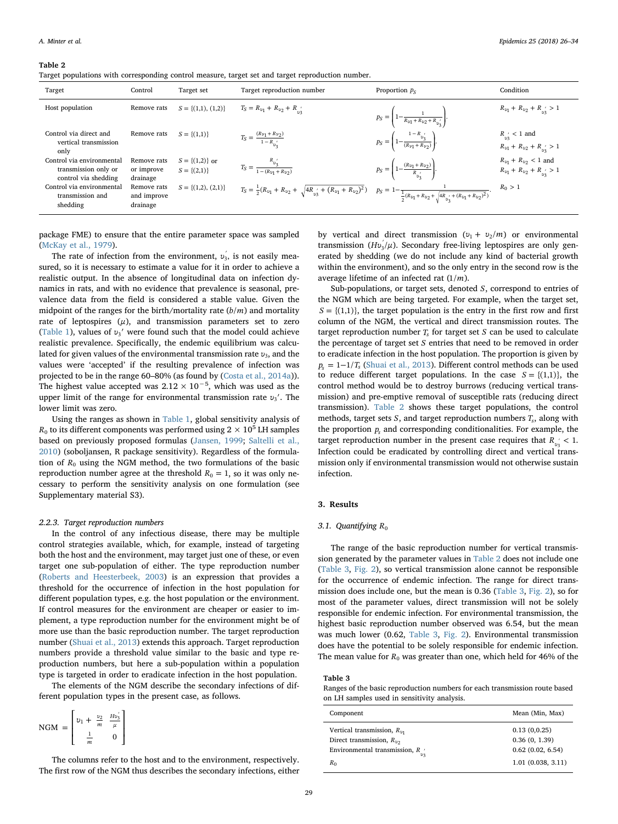#### <span id="page-3-0"></span>Table 2

Target populations with corresponding control measure, target set and target reproduction number.

| Target                                                                    | Control                                | Target set                              | Target reproduction number                                                                                                                                                                       | Proportion $p_{S}$                                                     | Condition                                                         |
|---------------------------------------------------------------------------|----------------------------------------|-----------------------------------------|--------------------------------------------------------------------------------------------------------------------------------------------------------------------------------------------------|------------------------------------------------------------------------|-------------------------------------------------------------------|
| Host population                                                           | Remove rats                            | $S = \{(1,1), (1,2)\}\$                 | $T_S = R_{v1} + R_{v2} + R_{v2}$                                                                                                                                                                 | $p_S = \left(1 - \frac{1}{Rv_1 + Rv_2 + R_{v_2}}\right).$              | $R_{v_1} + R_{v_2} + R_{v_2} > 1$                                 |
| Control via direct and<br>vertical transmission<br>only                   | Remove rats                            | $S = \{(1,1)\}\$                        | $T_S = \frac{(R_{\nu_1} + R_{\nu_2})}{1 - R_{\nu'}}$                                                                                                                                             | $p_S = \left(1 - \frac{1 - R_{v'_3}}{(R_{\nu 1} + R_{\nu 2})}\right).$ | $R_{v_3}$ < 1 and<br>$R_{v1} + R_{v2} + R_{v3} > 1$               |
| Control via environmental<br>transmission only or<br>control via shedding | Remove rats<br>or improve<br>drainage  | $S = \{(1,2)\}\$ or<br>$S = \{(2,1)\}\$ | $T_S = \frac{R_{v'_3}}{1 - (R_{v_1} + R_{v_2})}$                                                                                                                                                 | $p_S = \left(1 - \frac{(R_{v_1} + R_{v_2})}{R_{v'_1}}\right).$         | $R_{v_1} + R_{v_2} < 1$ and<br>$R_{v_1} + R_{v_2} + R_{v'_2} > 1$ |
| Control via environmental<br>transmission and<br>shedding                 | Remove rats<br>and improve<br>drainage | $S = \{(1,2), (2,1)\}\$                 | $T_S = \tfrac{1}{2} (R_{v_1} + R_{v_2} + \sqrt{4 R_{v'_3} + (R_{v_1} + R_{v_2})^2}) \quad \, p_S = 1 - \tfrac{1}{\tfrac{1}{2} (R_{v_1} + R_{v_2} + \sqrt{4 R_{v'_3} + (R_{v_1} + R_{v_2})^2})}.$ |                                                                        | $R_0 > 1$                                                         |

package FME) to ensure that the entire parameter space was sampled ([McKay et al., 1979](#page-8-23)).

The rate of infection from the environment,  $v_3$ , is not easily measured, so it is necessary to estimate a value for it in order to achieve a realistic output. In the absence of longitudinal data on infection dynamics in rats, and with no evidence that prevalence is seasonal, prevalence data from the field is considered a stable value. Given the midpoint of the ranges for the birth/mortality rate  $(b/m)$  and mortality rate of leptospires  $(\mu)$ , and transmission parameters set to zero ([Table 1](#page-2-0)), values of  $v_3'$  were found such that the model could achieve realistic prevalence. Specifically, the endemic equilibrium was calculated for given values of the environmental transmission rate *ν*<sub>3</sub>, and the values were 'accepted' if the resulting prevalence of infection was projected to be in the range 60–80% (as found by ([Costa et al., 2014a](#page-7-9))). The highest value accepted was  $2.12 \times 10^{-5}$ , which was used as the upper limit of the range for environmental transmission rate *υ*3′. The lower limit was zero.

Using the ranges as shown in [Table 1](#page-2-0), global sensitivity analysis of  $R_0$  to its different components was performed using  $2 \times 10^5$  LH samples based on previously proposed formulas ([Jansen, 1999](#page-7-21); [Saltelli et al.,](#page-8-24) [2010\)](#page-8-24) (soboljansen, R package sensitivity). Regardless of the formulation of  $R_0$  using the NGM method, the two formulations of the basic reproduction number agree at the threshold  $R_0 = 1$ , so it was only necessary to perform the sensitivity analysis on one formulation (see Supplementary material S3).

#### 2.2.3. Target reproduction numbers

In the control of any infectious disease, there may be multiple control strategies available, which, for example, instead of targeting both the host and the environment, may target just one of these, or even target one sub-population of either. The type reproduction number ([Roberts and Heesterbeek, 2003\)](#page-8-25) is an expression that provides a threshold for the occurrence of infection in the host population for different population types, e.g. the host population or the environment. If control measures for the environment are cheaper or easier to implement, a type reproduction number for the environment might be of more use than the basic reproduction number. The target reproduction number [\(Shuai et al., 2013\)](#page-8-20) extends this approach. Target reproduction numbers provide a threshold value similar to the basic and type reproduction numbers, but here a sub-population within a population type is targeted in order to eradicate infection in the host population.

The elements of the NGM describe the secondary infections of different population types in the present case, as follows.

$$
\text{NGM} = \begin{bmatrix} v_1 + \frac{v_2}{m} & \frac{Hv_3'}{\mu} \\ \frac{1}{m} & 0 \end{bmatrix}
$$

The columns refer to the host and to the environment, respectively. The first row of the NGM thus describes the secondary infections, either by vertical and direct transmission  $(v_1 + v_2/m)$  or environmental transmission ( $Hv_3/\mu$ ). Secondary free-living leptospires are only generated by shedding (we do not include any kind of bacterial growth within the environment), and so the only entry in the second row is the average lifetime of an infected rat (1/*m*).

Sub-populations, or target sets, denoted *S*, correspond to entries of the NGM which are being targeted. For example, when the target set,  $S = \{(1,1)\}\)$ , the target population is the entry in the first row and first column of the NGM, the vertical and direct transmission routes. The target reproduction number  $T_s$  for target set  $S$  can be used to calculate the percentage of target set *S* entries that need to be removed in order to eradicate infection in the host population. The proportion is given by  $p<sub>s</sub> = 1 - 1/T<sub>s</sub>$  [\(Shuai et al., 2013](#page-8-20)). Different control methods can be used to reduce different target populations. In the case  $S = \{(1,1)\}\)$ , the control method would be to destroy burrows (reducing vertical transmission) and pre-emptive removal of susceptible rats (reducing direct transmission). [Table 2](#page-3-0) shows these target populations, the control methods, target sets  $S$ , and target reproduction numbers  $T_s$ , along with the proportion *ps* and corresponding conditionalities. For example, the target reproduction number in the present case requires that  $R_{\text{m}}$  < 1. Infection could be eradicated by controlling direct and vertical transmission only if environmental transmission would not otherwise sustain infection.

#### 3. Results

#### 3.1. Quantifying R<sub>0</sub>

The range of the basic reproduction number for vertical transmission generated by the parameter values in [Table 2](#page-3-0) does not include one ([Table 3,](#page-3-1) [Fig. 2](#page-4-0)), so vertical transmission alone cannot be responsible for the occurrence of endemic infection. The range for direct transmission does include one, but the mean is 0.36 ([Table 3](#page-3-1), [Fig. 2\)](#page-4-0), so for most of the parameter values, direct transmission will not be solely responsible for endemic infection. For environmental transmission, the highest basic reproduction number observed was 6.54, but the mean was much lower (0.62, [Table 3](#page-3-1), [Fig. 2\)](#page-4-0). Environmental transmission does have the potential to be solely responsible for endemic infection. The mean value for  $R_0$  was greater than one, which held for 46% of the

#### <span id="page-3-1"></span>Table 3

Ranges of the basic reproduction numbers for each transmission route based on LH samples used in sensitivity analysis.

| Component                                | Mean (Min, Max)   |
|------------------------------------------|-------------------|
| Vertical transmission, $R_{v1}$          | 0.13(0.0.25)      |
| Direct transmission, $R_{\nu 2}$         | 0.36(0, 1.39)     |
| Environmental transmission, $R$ $\prime$ | 0.62(0.02, 6.54)  |
| $R_0$                                    | 1.01(0.038, 3.11) |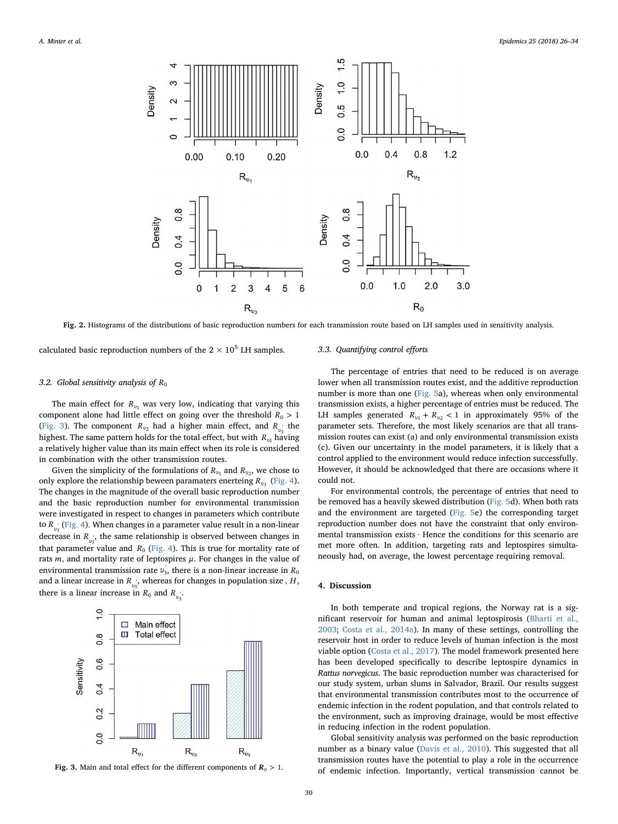<span id="page-4-0"></span>

Fig. 2. Histograms of the distributions of basic reproduction numbers for each transmission route based on LH samples used in sensitivity analysis.

calculated basic reproduction numbers of the  $2 \times 10^5$  LH samples.

### 3.2. Global sensitivity analysis of  $R_0$

The main effect for  $R_{\nu_1}$  was very low, indicating that varying this component alone had little effect on going over the threshold  $R_0 > 1$ ([Fig. 3](#page-4-1)). The component  $R_{v_2}$  had a higher main effect, and  $R_{v_2}$  the highest. The same pattern holds for the total effect, but with *Rυ*<sup>1</sup> having a relatively higher value than its main effect when its role is considered in combination with the other transmission routes.

Given the simplicity of the formulations of *R<sub>υ1</sub>* and *R<sub>υ2</sub>*, we chose to only explore the relationship beween paramaters enerteing *R<sub>υ3</sub>* ([Fig. 4](#page-5-0)). The changes in the magnitude of the overall basic reproduction number and the basic reproduction number for environmental transmission were investigated in respect to changes in parameters which contribute to  $R_{v_2}$ <sup>'</sup> [\(Fig. 4\)](#page-5-0). When changes in a parameter value result in a non-linear decrease in *R*<sub>*v*3</sub>, the same relationship is observed between changes in that parameter value and  $R_0$  [\(Fig. 4](#page-5-0)). This is true for mortality rate of rats  $m$ , and mortality rate of leptospires  $\mu$ . For changes in the value of environmental transmission rate  $v_3$ , there is a non-linear increase in  $R_0$ and a linear increase in  $R_{\nu_3}$ , whereas for changes in population size ,  $H$ , there is a linear increase in  $R_0$  and  $R_{\nu_3}$ .

<span id="page-4-1"></span>

Fig. 3. Main and total effect for the different components of  $R_0 > 1$ .

## 3.3. Quantifying control efforts

The percentage of entries that need to be reduced is on average lower when all transmission routes exist, and the additive reproduction number is more than one [\(Fig. 5a](#page-6-0)), whereas when only environmental transmission exists, a higher percentage of entries must be reduced. The LH samples generated  $R_{v_1} + R_{v_2} < 1$  in approximately 95% of the parameter sets. Therefore, the most likely scenarios are that all transmission routes can exist (a) and only environmental transmission exists (c). Given our uncertainty in the model parameters, it is likely that a control applied to the environment would reduce infection successfully. However, it should be acknowledged that there are occasions where it could not.

For environmental controls, the percentage of entries that need to be removed has a heavily skewed distribution [\(Fig. 5](#page-6-0)d). When both rats and the environment are targeted ([Fig. 5e](#page-6-0)) the corresponding target reproduction number does not have the constraint that only environmental transmission exists . Hence the conditions for this scenario are met more often. In addition, targeting rats and leptospires simultaneously had, on average, the lowest percentage requiring removal.

### 4. Discussion

In both temperate and tropical regions, the Norway rat is a significant reservoir for human and animal leptospirosis ([Bharti et al.,](#page-7-11) [2003;](#page-7-11) [Costa et al., 2014a\)](#page-7-9). In many of these settings, controlling the reservoir host in order to reduce levels of human infection is the most viable option ([Costa et al., 2017\)](#page-7-22). The model framework presented here has been developed specifically to describe leptospire dynamics in Rattus norvegicus. The basic reproduction number was characterised for our study system, urban slums in Salvador, Brazil. Our results suggest that environmental transmission contributes most to the occurrence of endemic infection in the rodent population, and that controls related to the environment, such as improving drainage, would be most effective in reducing infection in the rodent population.

Global sensitivity analysis was performed on the basic reproduction number as a binary value ([Davis et al., 2010\)](#page-7-23). This suggested that all transmission routes have the potential to play a role in the occurrence of endemic infection. Importantly, vertical transmission cannot be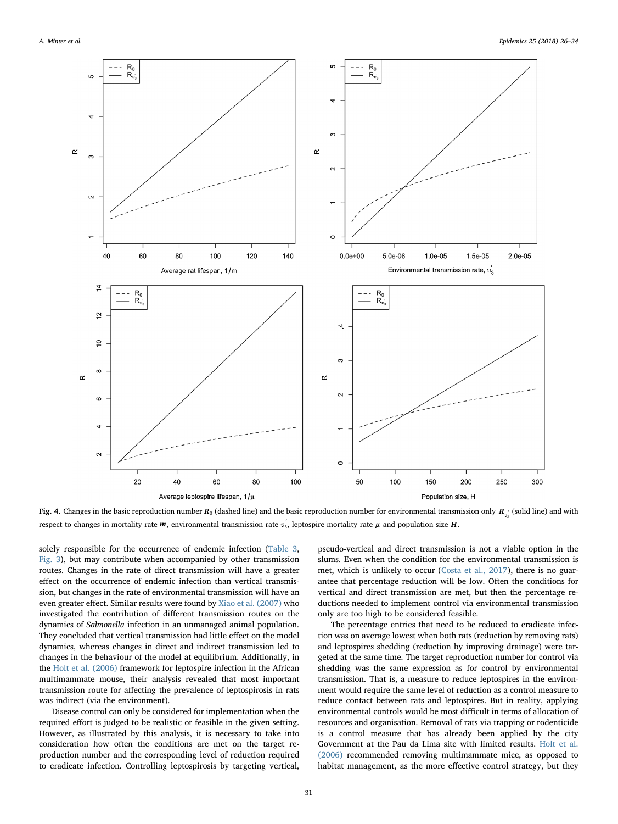<span id="page-5-0"></span>

**Fig. 4.** Changes in the basic reproduction number  $R_0$  (dashed line) and the basic reproduction number for environmental transmission only  $R_{\nu_3'}$  (solid line) and with respect to changes in mortality rate *m*, environmental transmission rate *υ′* <sup>3</sup>, leptospire mortality rate *μ* and population size *H*.

solely responsible for the occurrence of endemic infection ([Table 3](#page-3-1), [Fig. 3](#page-4-1)), but may contribute when accompanied by other transmission routes. Changes in the rate of direct transmission will have a greater effect on the occurrence of endemic infection than vertical transmission, but changes in the rate of environmental transmission will have an even greater effect. Similar results were found by [Xiao et al. \(2007\)](#page-8-26) who investigated the contribution of different transmission routes on the dynamics of Salmonella infection in an unmanaged animal population. They concluded that vertical transmission had little effect on the model dynamics, whereas changes in direct and indirect transmission led to changes in the behaviour of the model at equilibrium. Additionally, in the [Holt et al. \(2006\)](#page-7-14) framework for leptospire infection in the African multimammate mouse, their analysis revealed that most important transmission route for affecting the prevalence of leptospirosis in rats was indirect (via the environment).

Disease control can only be considered for implementation when the required effort is judged to be realistic or feasible in the given setting. However, as illustrated by this analysis, it is necessary to take into consideration how often the conditions are met on the target reproduction number and the corresponding level of reduction required to eradicate infection. Controlling leptospirosis by targeting vertical,

pseudo-vertical and direct transmission is not a viable option in the slums. Even when the condition for the environmental transmission is met, which is unlikely to occur [\(Costa et al., 2017](#page-7-22)), there is no guarantee that percentage reduction will be low. Often the conditions for vertical and direct transmission are met, but then the percentage reductions needed to implement control via environmental transmission only are too high to be considered feasible.

The percentage entries that need to be reduced to eradicate infection was on average lowest when both rats (reduction by removing rats) and leptospires shedding (reduction by improving drainage) were targeted at the same time. The target reproduction number for control via shedding was the same expression as for control by environmental transmission. That is, a measure to reduce leptospires in the environment would require the same level of reduction as a control measure to reduce contact between rats and leptospires. But in reality, applying environmental controls would be most difficult in terms of allocation of resources and organisation. Removal of rats via trapping or rodenticide is a control measure that has already been applied by the city Government at the Pau da Lima site with limited results. [Holt et al.](#page-7-14) [\(2006\)](#page-7-14) recommended removing multimammate mice, as opposed to habitat management, as the more effective control strategy, but they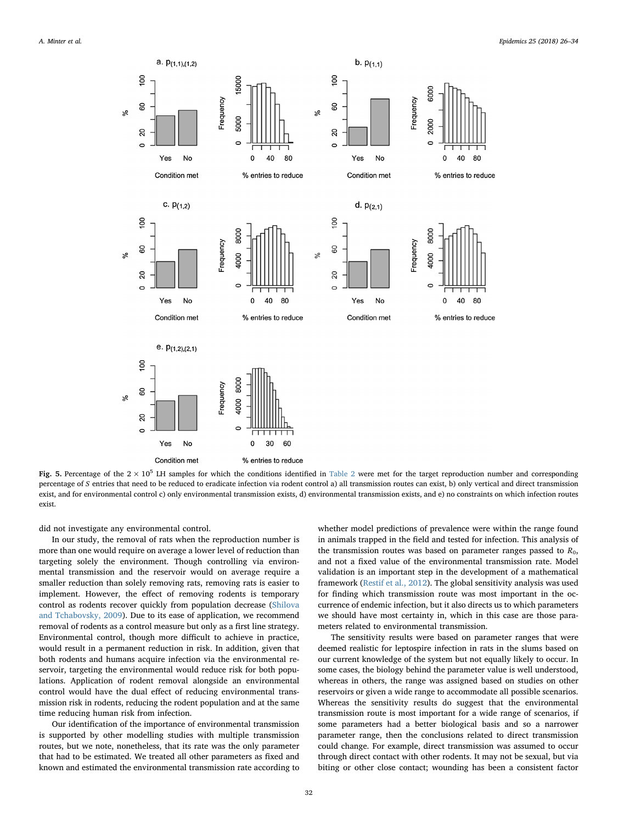<span id="page-6-0"></span>

Fig. 5. Percentage of the  $2 \times 10^5$  LH samples for which the conditions identified in [Table 2](#page-3-0) were met for the target reproduction number and corresponding percentage of *S* entries that need to be reduced to eradicate infection via rodent control a) all transmission routes can exist, b) only vertical and direct transmission exist, and for environmental control c) only environmental transmission exists, d) environmental transmission exists, and e) no constraints on which infection routes exist.

did not investigate any environmental control.

In our study, the removal of rats when the reproduction number is more than one would require on average a lower level of reduction than targeting solely the environment. Though controlling via environmental transmission and the reservoir would on average require a smaller reduction than solely removing rats, removing rats is easier to implement. However, the effect of removing rodents is temporary control as rodents recover quickly from population decrease ([Shilova](#page-8-27) [and Tchabovsky, 2009\)](#page-8-27). Due to its ease of application, we recommend removal of rodents as a control measure but only as a first line strategy. Environmental control, though more difficult to achieve in practice, would result in a permanent reduction in risk. In addition, given that both rodents and humans acquire infection via the environmental reservoir, targeting the environmental would reduce risk for both populations. Application of rodent removal alongside an environmental control would have the dual effect of reducing environmental transmission risk in rodents, reducing the rodent population and at the same time reducing human risk from infection.

Our identification of the importance of environmental transmission is supported by other modelling studies with multiple transmission routes, but we note, nonetheless, that its rate was the only parameter that had to be estimated. We treated all other parameters as fixed and known and estimated the environmental transmission rate according to whether model predictions of prevalence were within the range found in animals trapped in the field and tested for infection. This analysis of the transmission routes was based on parameter ranges passed to  $R_0$ , and not a fixed value of the environmental transmission rate. Model validation is an important step in the development of a mathematical framework [\(Restif et al., 2012\)](#page-8-28). The global sensitivity analysis was used for finding which transmission route was most important in the occurrence of endemic infection, but it also directs us to which parameters we should have most certainty in, which in this case are those parameters related to environmental transmission.

The sensitivity results were based on parameter ranges that were deemed realistic for leptospire infection in rats in the slums based on our current knowledge of the system but not equally likely to occur. In some cases, the biology behind the parameter value is well understood, whereas in others, the range was assigned based on studies on other reservoirs or given a wide range to accommodate all possible scenarios. Whereas the sensitivity results do suggest that the environmental transmission route is most important for a wide range of scenarios, if some parameters had a better biological basis and so a narrower parameter range, then the conclusions related to direct transmission could change. For example, direct transmission was assumed to occur through direct contact with other rodents. It may not be sexual, but via biting or other close contact; wounding has been a consistent factor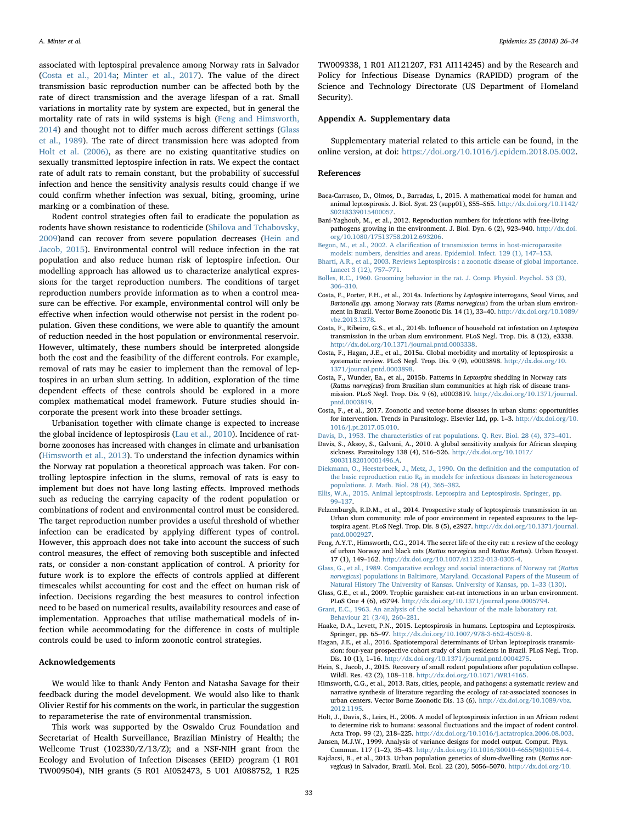associated with leptospiral prevalence among Norway rats in Salvador ([Costa et al., 2014a](#page-7-9); [Minter et al., 2017\)](#page-8-10). The value of the direct transmission basic reproduction number can be affected both by the rate of direct transmission and the average lifespan of a rat. Small variations in mortality rate by system are expected, but in general the mortality rate of rats in wild systems is high [\(Feng and Himsworth,](#page-7-10) [2014\)](#page-7-10) and thought not to differ much across different settings [\(Glass](#page-7-20) [et al., 1989\)](#page-7-20). The rate of direct transmission here was adopted from [Holt et al. \(2006\),](#page-7-14) as there are no existing quantitative studies on sexually transmitted leptospire infection in rats. We expect the contact rate of adult rats to remain constant, but the probability of successful infection and hence the sensitivity analysis results could change if we could confirm whether infection was sexual, biting, grooming, urine marking or a combination of these.

Rodent control strategies often fail to eradicate the population as rodents have shown resistance to rodenticide [\(Shilova and Tchabovsky,](#page-8-27) [2009\)](#page-8-27)and can recover from severe population decreases [\(Hein and](#page-7-24) [Jacob, 2015\)](#page-7-24). Environmental control will reduce infection in the rat population and also reduce human risk of leptospire infection. Our modelling approach has allowed us to characterize analytical expressions for the target reproduction numbers. The conditions of target reproduction numbers provide information as to when a control measure can be effective. For example, environmental control will only be effective when infection would otherwise not persist in the rodent population. Given these conditions, we were able to quantify the amount of reduction needed in the host population or environmental reservoir. However, ultimately, these numbers should be interpreted alongside both the cost and the feasibility of the different controls. For example, removal of rats may be easier to implement than the removal of leptospires in an urban slum setting. In addition, exploration of the time dependent effects of these controls should be explored in a more complex mathematical model framework. Future studies should incorporate the present work into these broader settings.

Urbanisation together with climate change is expected to increase the global incidence of leptospirosis ([Lau et al., 2010\)](#page-8-29). Incidence of ratborne zoonoses has increased with changes in climate and urbanisation ([Himsworth et al., 2013](#page-7-25)). To understand the infection dynamics within the Norway rat population a theoretical approach was taken. For controlling leptospire infection in the slums, removal of rats is easy to implement but does not have long lasting effects. Improved methods such as reducing the carrying capacity of the rodent population or combinations of rodent and environmental control must be considered. The target reproduction number provides a useful threshold of whether infection can be eradicated by applying different types of control. However, this approach does not take into account the success of such control measures, the effect of removing both susceptible and infected rats, or consider a non-constant application of control. A priority for future work is to explore the effects of controls applied at different timescales whilst accounting for cost and the effect on human risk of infection. Decisions regarding the best measures to control infection need to be based on numerical results, availability resources and ease of implementation. Approaches that utilise mathematical models of infection while accommodating for the difference in costs of multiple controls could be used to inform zoonotic control strategies.

#### Acknowledgements

We would like to thank Andy Fenton and Natasha Savage for their feedback during the model development. We would also like to thank Olivier Restif for his comments on the work, in particular the suggestion to reparameterise the rate of environmental transmission.

This work was supported by the Oswaldo Cruz Foundation and Secretariat of Health Surveillance, Brazilian Ministry of Health; the Wellcome Trust (102330/Z/13/Z); and a NSF-NIH grant from the Ecology and Evolution of Infection Diseases (EEID) program (1 R01 TW009504), NIH grants (5 R01 AI052473, 5 U01 AI088752, 1 R25 TW009338, 1 R01 AI121207, F31 AI114245) and by the Research and Policy for Infectious Disease Dynamics (RAPIDD) program of the Science and Technology Directorate (US Department of Homeland Security).

#### Appendix A. Supplementary data

Supplementary material related to this article can be found, in the online version, at doi: [https://doi.org/10.1016/j.epidem.2018.05.002.](https://doi.org/10.1016/j.epidem.2018.05.002)

#### References

- <span id="page-7-15"></span>Baca-Carrasco, D., Olmos, D., Barradas, I., 2015. A mathematical model for human and animal leptospirosis. J. Biol. Syst. 23 (supp01), S55–S65. [http://dx.doi.org/10.1142/](http://dx.doi.org/10.1142/S0218339015400057) [S0218339015400057](http://dx.doi.org/10.1142/S0218339015400057).
- <span id="page-7-19"></span>Bani-Yaghoub, M., et al., 2012. Reproduction numbers for infections with free-living pathogens growing in the environment. J. Biol. Dyn. 6 (2), 923–940. [http://dx.doi.](http://dx.doi.org/10.1080/17513758.2012.693206) [org/10.1080/17513758.2012.693206.](http://dx.doi.org/10.1080/17513758.2012.693206)
- <span id="page-7-16"></span>Begon, M., et al., 2002. A clarifi[cation of transmission terms in host-microparasite](http://refhub.elsevier.com/S1755-4365(17)30135-4/sbref0015) [models: numbers, densities and areas. Epidemiol. Infect. 129 \(1\), 147](http://refhub.elsevier.com/S1755-4365(17)30135-4/sbref0015)–153.
- <span id="page-7-11"></span>[Bharti, A.R., et al., 2003. Reviews Leptospirosis : a zoonotic disease of global importance.](http://refhub.elsevier.com/S1755-4365(17)30135-4/sbref0020) [Lancet 3 \(12\), 757](http://refhub.elsevier.com/S1755-4365(17)30135-4/sbref0020)–771.
- <span id="page-7-12"></span>[Bolles, R.C., 1960. Grooming behavior in the rat. J. Comp. Physiol. Psychol. 53 \(3\),](http://refhub.elsevier.com/S1755-4365(17)30135-4/sbref0025) 306–[310](http://refhub.elsevier.com/S1755-4365(17)30135-4/sbref0025).
- <span id="page-7-9"></span>Costa, F., Porter, F.H., et al., 2014a. Infections by Leptospira interrogans, Seoul Virus, and Bartonella spp. among Norway rats (Rattus norvegicus) from the urban slum environment in Brazil. Vector Borne Zoonotic Dis. 14 (1), 33–40. [http://dx.doi.org/10.1089/](http://dx.doi.org/10.1089/vbz.2013.1378) [vbz.2013.1378.](http://dx.doi.org/10.1089/vbz.2013.1378)
- <span id="page-7-8"></span>Costa, F., Ribeiro, G.S., et al., 2014b. Influence of household rat infestation on Leptospira transmission in the urban slum environment. PLoS Negl. Trop. Dis. 8 (12), e3338. <http://dx.doi.org/10.1371/journal.pntd.0003338>.
- <span id="page-7-2"></span>Costa, F., Hagan, J.E., et al., 2015a. Global morbidity and mortality of leptospirosis: a systematic review. PLoS Negl. Trop. Dis. 9 (9), e0003898. [http://dx.doi.org/10.](http://dx.doi.org/10.1371/journal.pntd.0003898) [1371/journal.pntd.0003898.](http://dx.doi.org/10.1371/journal.pntd.0003898)
- <span id="page-7-4"></span>Costa, F., Wunder, Ea., et al., 2015b. Patterns in Leptospira shedding in Norway rats (Rattus norvegicus) from Brazilian slum communities at high risk of disease transmission. PLoS Negl. Trop. Dis. 9 (6), e0003819. [http://dx.doi.org/10.1371/journal.](http://dx.doi.org/10.1371/journal.pntd.0003819) [pntd.0003819](http://dx.doi.org/10.1371/journal.pntd.0003819).
- <span id="page-7-22"></span>Costa, F., et al., 2017. Zoonotic and vector-borne diseases in urban slums: opportunities for intervention. Trends in Parasitology. Elsevier Ltd, pp. 1–3. [http://dx.doi.org/10.](http://dx.doi.org/10.1016/j.pt.2017.05.010) [1016/j.pt.2017.05.010](http://dx.doi.org/10.1016/j.pt.2017.05.010).
- <span id="page-7-17"></span>[Davis, D., 1953. The characteristics of rat populations. Q. Rev. Biol. 28 \(4\), 373](http://refhub.elsevier.com/S1755-4365(17)30135-4/sbref0055)–401.
- <span id="page-7-23"></span>Davis, S., Aksoy, S., Galvani, A., 2010. A global sensitivity analysis for African sleeping sickness. Parasitology 138 (4), 516–526. [http://dx.doi.org/10.1017/](http://dx.doi.org/10.1017/S0031182010001496.A) [S0031182010001496.A](http://dx.doi.org/10.1017/S0031182010001496.A).
- <span id="page-7-18"></span>[Diekmann, O., Heesterbeek, J., Metz, J., 1990. On the de](http://refhub.elsevier.com/S1755-4365(17)30135-4/sbref0065)finition and the computation of the basic reproduction ratio  $R_0$  [in models for infectious diseases in heterogeneous](http://refhub.elsevier.com/S1755-4365(17)30135-4/sbref0065) [populations. J. Math. Biol. 28 \(4\), 365](http://refhub.elsevier.com/S1755-4365(17)30135-4/sbref0065)–382.
- <span id="page-7-0"></span>[Ellis, W.A., 2015. Animal leptospirosis. Leptospira and Leptospirosis. Springer, pp.](http://refhub.elsevier.com/S1755-4365(17)30135-4/sbref0070) 99–[137.](http://refhub.elsevier.com/S1755-4365(17)30135-4/sbref0070)
- <span id="page-7-7"></span>Felzemburgh, R.D.M., et al., 2014. Prospective study of leptospirosis transmission in an Urban slum community: role of poor environment in repeated exposures to the leptospira agent. PLoS Negl. Trop. Dis. 8 (5), e2927. [http://dx.doi.org/10.1371/journal.](http://dx.doi.org/10.1371/journal.pntd.0002927) [pntd.0002927](http://dx.doi.org/10.1371/journal.pntd.0002927).
- <span id="page-7-10"></span>Feng, A.Y.T., Himsworth, C.G., 2014. The secret life of the city rat: a review of the ecology of urban Norway and black rats (Rattus norvegicus and Rattus Rattus). Urban Ecosyst. 17 (1), 149–162. <http://dx.doi.org/10.1007/s11252-013-0305-4>.
- <span id="page-7-20"></span>[Glass, G., et al., 1989. Comparative ecology and social interactions of Norway rat \(](http://refhub.elsevier.com/S1755-4365(17)30135-4/sbref0085)Rattus norvegicus[\) populations in Baltimore, Maryland. Occasional Papers of the Museum of](http://refhub.elsevier.com/S1755-4365(17)30135-4/sbref0085) [Natural History The University of Kansas. University of Kansas, pp. 1](http://refhub.elsevier.com/S1755-4365(17)30135-4/sbref0085)–33 (130).
- <span id="page-7-5"></span>Glass, G.E., et al., 2009. Trophic garnishes: cat-rat interactions in an urban environment. PLoS One 4 (6), e5794. <http://dx.doi.org/10.1371/journal.pone.0005794>.
- <span id="page-7-13"></span>[Grant, E.C., 1963. An analysis of the social behaviour of the male laboratory rat.](http://refhub.elsevier.com/S1755-4365(17)30135-4/sbref0095) [Behaviour 21 \(3/4\), 260](http://refhub.elsevier.com/S1755-4365(17)30135-4/sbref0095)–281.
- <span id="page-7-1"></span>Haake, D.A., Levett, P.N., 2015. Leptospirosis in humans. Leptospira and Leptospirosis. Springer, pp. 65–97. [http://dx.doi.org/10.1007/978-3-662-45059-8.](http://dx.doi.org/10.1007/978-3-662-45059-8)
- <span id="page-7-3"></span>Hagan, J.E., et al., 2016. Spatiotemporal determinants of Urban leptospirosis transmission: four-year prospective cohort study of slum residents in Brazil. PLoS Negl. Trop. Dis. 10 (1), 1–16. [http://dx.doi.org/10.1371/journal.pntd.0004275.](http://dx.doi.org/10.1371/journal.pntd.0004275)
- <span id="page-7-24"></span>Hein, S., Jacob, J., 2015. Recovery of small rodent populations after population collapse. Wildl. Res. 42 (2), 108–118. [http://dx.doi.org/10.1071/WR14165.](http://dx.doi.org/10.1071/WR14165)
- <span id="page-7-25"></span>Himsworth, C.G., et al., 2013. Rats, cities, people, and pathogens: a systematic review and narrative synthesis of literature regarding the ecology of rat-associated zoonoses in urban centers. Vector Borne Zoonotic Dis. 13 (6). [http://dx.doi.org/10.1089/vbz.](http://dx.doi.org/10.1089/vbz.2012.1195) [2012.1195](http://dx.doi.org/10.1089/vbz.2012.1195).
- <span id="page-7-14"></span>Holt, J., Davis, S., Leirs, H., 2006. A model of leptospirosis infection in an African rodent to determine risk to humans: seasonal fluctuations and the impact of rodent control. Acta Trop. 99 (2), 218–225. [http://dx.doi.org/10.1016/j.actatropica.2006.08.003.](http://dx.doi.org/10.1016/j.actatropica.2006.08.003)
- <span id="page-7-21"></span>Jansen, M.J.W., 1999. Analysis of variance designs for model output. Comput. Phys. Commun. 117 (1–2), 35–43. [http://dx.doi.org/10.1016/S0010-4655\(98\)00154-4.](http://dx.doi.org/10.1016/S0010-4655(98)00154-4)
- <span id="page-7-6"></span>Kajdacsi, B., et al., 2013. Urban population genetics of slum-dwelling rats (Rattus norvegicus) in Salvador, Brazil. Mol. Ecol. 22 (20), 5056–5070. [http://dx.doi.org/10.](http://dx.doi.org/10.1038/nm1295-1237)